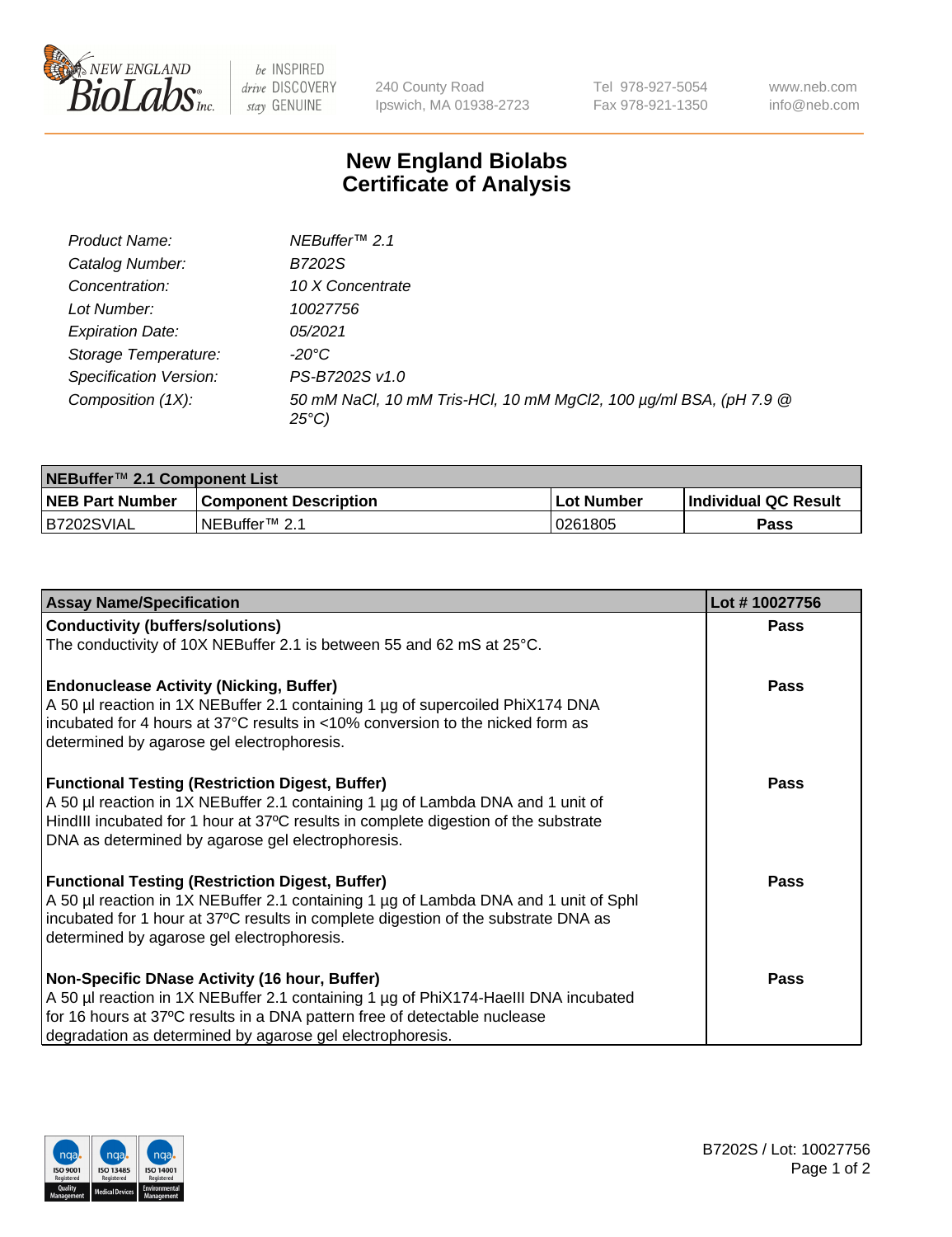

be INSPIRED drive DISCOVERY stay GENUINE

240 County Road Ipswich, MA 01938-2723 Tel 978-927-5054 Fax 978-921-1350 www.neb.com info@neb.com

## **New England Biolabs Certificate of Analysis**

| Product Name:           | NEBuffer <sup>™</sup> 2.1                                                          |
|-------------------------|------------------------------------------------------------------------------------|
| Catalog Number:         | B7202S                                                                             |
| Concentration:          | 10 X Concentrate                                                                   |
| Lot Number:             | 10027756                                                                           |
| <b>Expiration Date:</b> | 05/2021                                                                            |
| Storage Temperature:    | -20°C                                                                              |
| Specification Version:  | PS-B7202S v1.0                                                                     |
| Composition (1X):       | 50 mM NaCl, 10 mM Tris-HCl, 10 mM MgCl2, 100 µg/ml BSA, (pH 7.9 @<br>$25^{\circ}C$ |

| NEBuffer <sup>™</sup> 2.1 Component List |                              |              |                             |  |  |
|------------------------------------------|------------------------------|--------------|-----------------------------|--|--|
| <b>NEB Part Number</b>                   | <b>Component Description</b> | . Lot Number | <b>Individual QC Result</b> |  |  |
| B7202SVIAL                               | NEBuffer™ 2.1                | 0261805      | <b>Pass</b>                 |  |  |

| <b>Assay Name/Specification</b>                                                                                                                                                                                                                                                       | Lot #10027756 |
|---------------------------------------------------------------------------------------------------------------------------------------------------------------------------------------------------------------------------------------------------------------------------------------|---------------|
| <b>Conductivity (buffers/solutions)</b>                                                                                                                                                                                                                                               | <b>Pass</b>   |
| The conductivity of 10X NEBuffer 2.1 is between 55 and 62 mS at 25°C.                                                                                                                                                                                                                 |               |
| <b>Endonuclease Activity (Nicking, Buffer)</b><br>A 50 µl reaction in 1X NEBuffer 2.1 containing 1 µg of supercoiled PhiX174 DNA<br>incubated for 4 hours at 37°C results in <10% conversion to the nicked form as<br>determined by agarose gel electrophoresis.                      | <b>Pass</b>   |
| <b>Functional Testing (Restriction Digest, Buffer)</b><br>A 50 µl reaction in 1X NEBuffer 2.1 containing 1 µg of Lambda DNA and 1 unit of<br>HindIII incubated for 1 hour at 37°C results in complete digestion of the substrate<br>DNA as determined by agarose gel electrophoresis. | <b>Pass</b>   |
| <b>Functional Testing (Restriction Digest, Buffer)</b><br>A 50 µl reaction in 1X NEBuffer 2.1 containing 1 µg of Lambda DNA and 1 unit of Sphl<br>incubated for 1 hour at 37°C results in complete digestion of the substrate DNA as<br>determined by agarose gel electrophoresis.    | Pass          |
| Non-Specific DNase Activity (16 hour, Buffer)<br>A 50 µl reaction in 1X NEBuffer 2.1 containing 1 µg of PhiX174-HaellI DNA incubated<br>for 16 hours at 37°C results in a DNA pattern free of detectable nuclease<br>degradation as determined by agarose gel electrophoresis.        | Pass          |